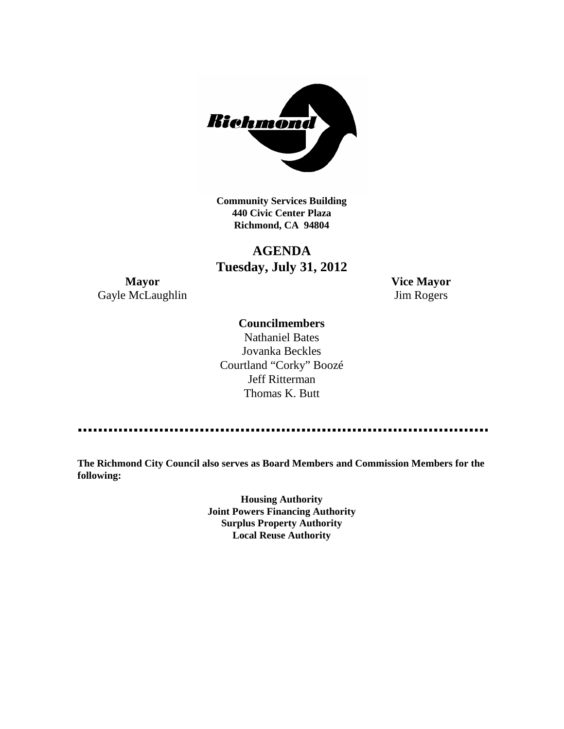

**Community Services Building 440 Civic Center Plaza Richmond, CA 94804**

# **AGENDA Tuesday, July 31, 2012**

**Mayor Vice Mayor** Gayle McLaughlin Jim Rogers

#### **Councilmembers**

Nathaniel Bates Jovanka Beckles Courtland "Corky" Boozé Jeff Ritterman Thomas K. Butt

**The Richmond City Council also serves as Board Members and Commission Members for the following:**

> **Housing Authority Joint Powers Financing Authority Surplus Property Authority Local Reuse Authority**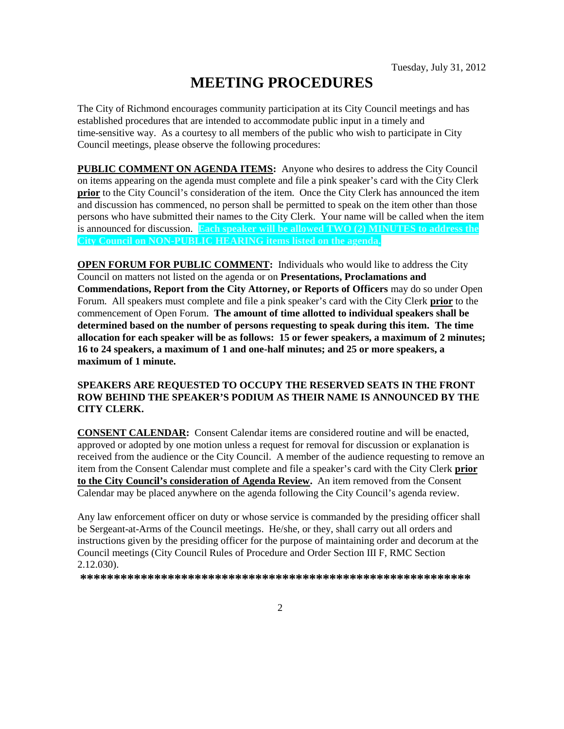# **MEETING PROCEDURES**

The City of Richmond encourages community participation at its City Council meetings and has established procedures that are intended to accommodate public input in a timely and time-sensitive way. As a courtesy to all members of the public who wish to participate in City Council meetings, please observe the following procedures:

**PUBLIC COMMENT ON AGENDA ITEMS:** Anyone who desires to address the City Council on items appearing on the agenda must complete and file a pink speaker's card with the City Clerk **prior** to the City Council's consideration of the item. Once the City Clerk has announced the item and discussion has commenced, no person shall be permitted to speak on the item other than those persons who have submitted their names to the City Clerk. Your name will be called when the item is announced for discussion. **Each speaker will be allowed TWO (2) MINUTES to address the City Council on NON-PUBLIC HEARING items listed on the agenda.**

**OPEN FORUM FOR PUBLIC COMMENT:** Individuals who would like to address the City Council on matters not listed on the agenda or on **Presentations, Proclamations and Commendations, Report from the City Attorney, or Reports of Officers** may do so under Open Forum. All speakers must complete and file a pink speaker's card with the City Clerk **prior** to the commencement of Open Forum. **The amount of time allotted to individual speakers shall be determined based on the number of persons requesting to speak during this item. The time allocation for each speaker will be as follows: 15 or fewer speakers, a maximum of 2 minutes; 16 to 24 speakers, a maximum of 1 and one-half minutes; and 25 or more speakers, a maximum of 1 minute.**

#### **SPEAKERS ARE REQUESTED TO OCCUPY THE RESERVED SEATS IN THE FRONT ROW BEHIND THE SPEAKER'S PODIUM AS THEIR NAME IS ANNOUNCED BY THE CITY CLERK.**

**CONSENT CALENDAR:** Consent Calendar items are considered routine and will be enacted, approved or adopted by one motion unless a request for removal for discussion or explanation is received from the audience or the City Council. A member of the audience requesting to remove an item from the Consent Calendar must complete and file a speaker's card with the City Clerk **prior to the City Council's consideration of Agenda Review.** An item removed from the Consent Calendar may be placed anywhere on the agenda following the City Council's agenda review.

Any law enforcement officer on duty or whose service is commanded by the presiding officer shall be Sergeant-at-Arms of the Council meetings. He/she, or they, shall carry out all orders and instructions given by the presiding officer for the purpose of maintaining order and decorum at the Council meetings (City Council Rules of Procedure and Order Section III F, RMC Section 2.12.030).

**\*\*\*\*\*\*\*\*\*\*\*\*\*\*\*\*\*\*\*\*\*\*\*\*\*\*\*\*\*\*\*\*\*\*\*\*\*\*\*\*\*\*\*\*\*\*\*\*\*\*\*\*\*\*\*\*\*\***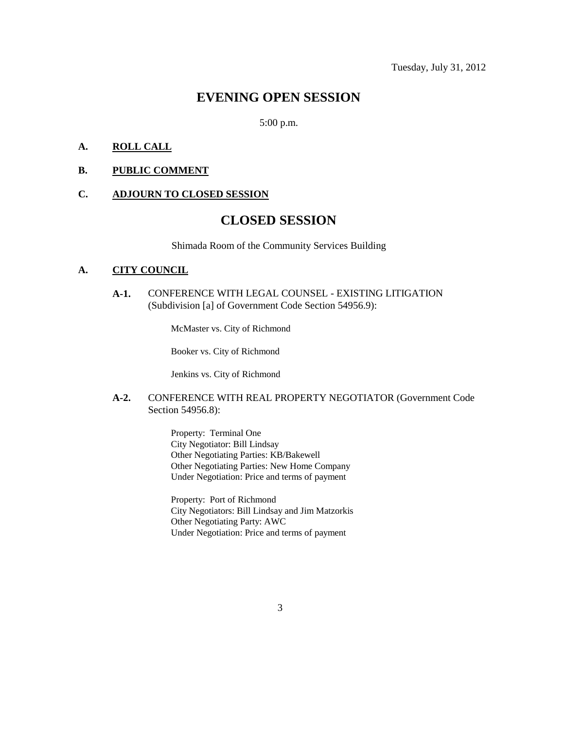### **EVENING OPEN SESSION**

5:00 p.m.

#### **A. ROLL CALL**

#### **B. PUBLIC COMMENT**

#### **C. ADJOURN TO CLOSED SESSION**

### **CLOSED SESSION**

Shimada Room of the Community Services Building

#### **A. CITY COUNCIL**

**A-1.** CONFERENCE WITH LEGAL COUNSEL - EXISTING LITIGATION (Subdivision [a] of Government Code Section 54956.9):

McMaster vs. City of Richmond

Booker vs. City of Richmond

Jenkins vs. City of Richmond

#### **A-2.** CONFERENCE WITH REAL PROPERTY NEGOTIATOR (Government Code Section 54956.8):

Property: Terminal One City Negotiator: Bill Lindsay Other Negotiating Parties: KB/Bakewell Other Negotiating Parties: New Home Company Under Negotiation: Price and terms of payment

Property: Port of Richmond City Negotiators: Bill Lindsay and Jim Matzorkis Other Negotiating Party: AWC Under Negotiation: Price and terms of payment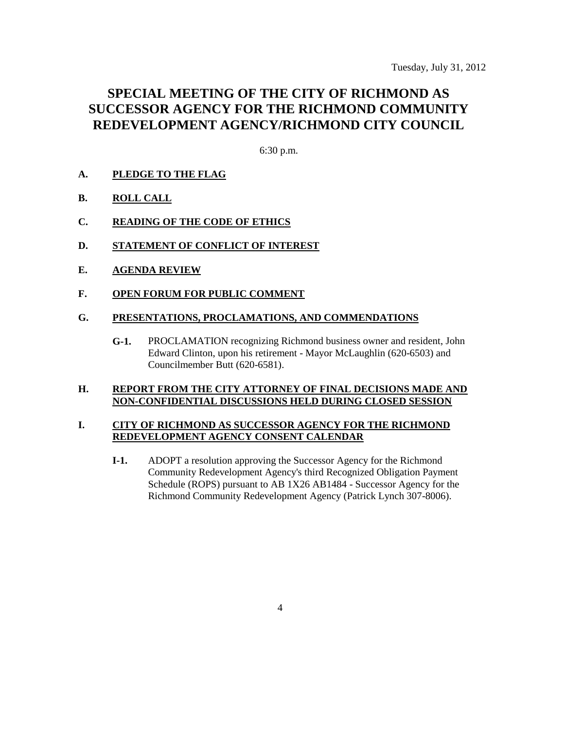# **SPECIAL MEETING OF THE CITY OF RICHMOND AS SUCCESSOR AGENCY FOR THE RICHMOND COMMUNITY REDEVELOPMENT AGENCY/RICHMOND CITY COUNCIL**

6:30 p.m.

- **A. PLEDGE TO THE FLAG**
- **B. ROLL CALL**
- **C. READING OF THE CODE OF ETHICS**
- **D. STATEMENT OF CONFLICT OF INTEREST**
- **E. AGENDA REVIEW**
- **F. OPEN FORUM FOR PUBLIC COMMENT**

#### **G. PRESENTATIONS, PROCLAMATIONS, AND COMMENDATIONS**

**G-1.** PROCLAMATION recognizing Richmond business owner and resident, John Edward Clinton, upon his retirement - Mayor McLaughlin (620-6503) and Councilmember Butt (620-6581).

#### **H. REPORT FROM THE CITY ATTORNEY OF FINAL DECISIONS MADE AND NON-CONFIDENTIAL DISCUSSIONS HELD DURING CLOSED SESSION**

#### **I. CITY OF RICHMOND AS SUCCESSOR AGENCY FOR THE RICHMOND REDEVELOPMENT AGENCY CONSENT CALENDAR**

**I-1.** ADOPT a resolution approving the Successor Agency for the Richmond Community Redevelopment Agency's third Recognized Obligation Payment Schedule (ROPS) pursuant to AB 1X26 AB1484 - Successor Agency for the Richmond Community Redevelopment Agency (Patrick Lynch 307-8006).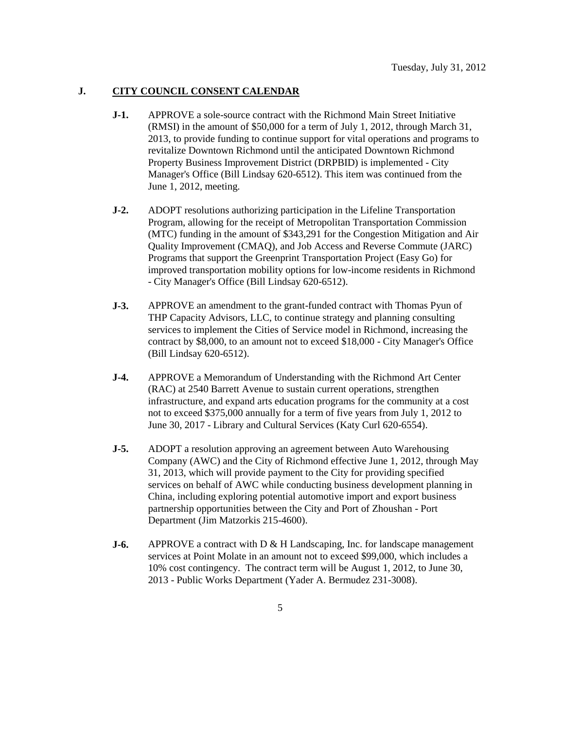#### **J. CITY COUNCIL CONSENT CALENDAR**

- **J-1.** APPROVE a sole-source contract with the Richmond Main Street Initiative (RMSI) in the amount of \$50,000 for a term of July 1, 2012, through March 31, 2013, to provide funding to continue support for vital operations and programs to revitalize Downtown Richmond until the anticipated Downtown Richmond Property Business Improvement District (DRPBID) is implemented - City Manager's Office (Bill Lindsay 620-6512). This item was continued from the June 1, 2012, meeting.
- **J-2.** ADOPT resolutions authorizing participation in the Lifeline Transportation Program, allowing for the receipt of Metropolitan Transportation Commission (MTC) funding in the amount of \$343,291 for the Congestion Mitigation and Air Quality Improvement (CMAQ), and Job Access and Reverse Commute (JARC) Programs that support the Greenprint Transportation Project (Easy Go) for improved transportation mobility options for low-income residents in Richmond - City Manager's Office (Bill Lindsay 620-6512).
- **J-3.** APPROVE an amendment to the grant-funded contract with Thomas Pyun of THP Capacity Advisors, LLC, to continue strategy and planning consulting services to implement the Cities of Service model in Richmond, increasing the contract by \$8,000, to an amount not to exceed \$18,000 - City Manager's Office (Bill Lindsay 620-6512).
- **J-4.** APPROVE a Memorandum of Understanding with the Richmond Art Center (RAC) at 2540 Barrett Avenue to sustain current operations, strengthen infrastructure, and expand arts education programs for the community at a cost not to exceed \$375,000 annually for a term of five years from July 1, 2012 to June 30, 2017 - Library and Cultural Services (Katy Curl 620-6554).
- **J-5.** ADOPT a resolution approving an agreement between Auto Warehousing Company (AWC) and the City of Richmond effective June 1, 2012, through May 31, 2013, which will provide payment to the City for providing specified services on behalf of AWC while conducting business development planning in China, including exploring potential automotive import and export business partnership opportunities between the City and Port of Zhoushan - Port Department (Jim Matzorkis 215-4600).
- **J-6.** APPROVE a contract with D & H Landscaping, Inc. for landscape management services at Point Molate in an amount not to exceed \$99,000, which includes a 10% cost contingency. The contract term will be August 1, 2012, to June 30, 2013 - Public Works Department (Yader A. Bermudez 231-3008).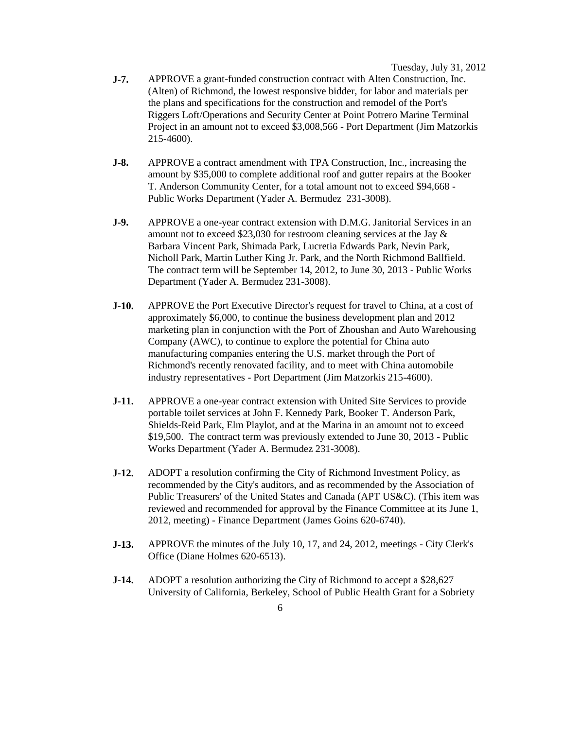Tuesday, July 31, 2012

- **J-7.** APPROVE a grant-funded construction contract with Alten Construction, Inc. (Alten) of Richmond, the lowest responsive bidder, for labor and materials per the plans and specifications for the construction and remodel of the Port's Riggers Loft/Operations and Security Center at Point Potrero Marine Terminal Project in an amount not to exceed \$3,008,566 - Port Department (Jim Matzorkis 215-4600).
- **J-8.** APPROVE a contract amendment with TPA Construction, Inc., increasing the amount by \$35,000 to complete additional roof and gutter repairs at the Booker T. Anderson Community Center, for a total amount not to exceed \$94,668 - Public Works Department (Yader A. Bermudez 231-3008).
- **J-9.** APPROVE a one-year contract extension with D.M.G. Janitorial Services in an amount not to exceed \$23,030 for restroom cleaning services at the Jay & Barbara Vincent Park, Shimada Park, Lucretia Edwards Park, Nevin Park, Nicholl Park, Martin Luther King Jr. Park, and the North Richmond Ballfield. The contract term will be September 14, 2012, to June 30, 2013 - Public Works Department (Yader A. Bermudez 231-3008).
- **J-10.** APPROVE the Port Executive Director's request for travel to China, at a cost of approximately \$6,000, to continue the business development plan and 2012 marketing plan in conjunction with the Port of Zhoushan and Auto Warehousing Company (AWC), to continue to explore the potential for China auto manufacturing companies entering the U.S. market through the Port of Richmond's recently renovated facility, and to meet with China automobile industry representatives - Port Department (Jim Matzorkis 215-4600).
- **J-11.** APPROVE a one-year contract extension with United Site Services to provide portable toilet services at John F. Kennedy Park, Booker T. Anderson Park, Shields-Reid Park, Elm Playlot, and at the Marina in an amount not to exceed \$19,500. The contract term was previously extended to June 30, 2013 - Public Works Department (Yader A. Bermudez 231-3008).
- **J-12.** ADOPT a resolution confirming the City of Richmond Investment Policy, as recommended by the City's auditors, and as recommended by the Association of Public Treasurers' of the United States and Canada (APT US&C). (This item was reviewed and recommended for approval by the Finance Committee at its June 1, 2012, meeting) - Finance Department (James Goins 620-6740).
- **J-13.** APPROVE the minutes of the July 10, 17, and 24, 2012, meetings City Clerk's Office (Diane Holmes 620-6513).
- **J-14.** ADOPT a resolution authorizing the City of Richmond to accept a \$28,627 University of California, Berkeley, School of Public Health Grant for a Sobriety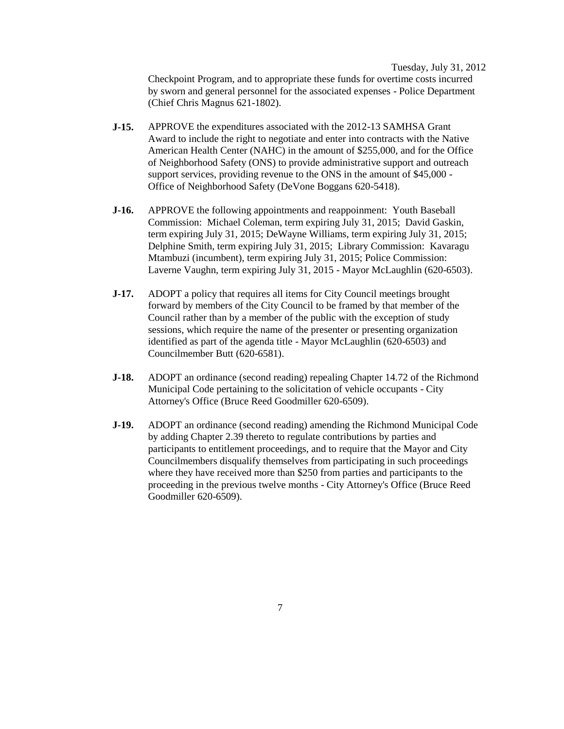Tuesday, July 31, 2012 Checkpoint Program, and to appropriate these funds for overtime costs incurred by sworn and general personnel for the associated expenses - Police Department (Chief Chris Magnus 621-1802).

- **J-15.** APPROVE the expenditures associated with the 2012-13 SAMHSA Grant Award to include the right to negotiate and enter into contracts with the Native American Health Center (NAHC) in the amount of \$255,000, and for the Office of Neighborhood Safety (ONS) to provide administrative support and outreach support services, providing revenue to the ONS in the amount of \$45,000 - Office of Neighborhood Safety (DeVone Boggans 620-5418).
- **J-16.** APPROVE the following appointments and reappoinment: Youth Baseball Commission: Michael Coleman, term expiring July 31, 2015; David Gaskin, term expiring July 31, 2015; DeWayne Williams, term expiring July 31, 2015; Delphine Smith, term expiring July 31, 2015; Library Commission: Kavaragu Mtambuzi (incumbent), term expiring July 31, 2015; Police Commission: Laverne Vaughn, term expiring July 31, 2015 - Mayor McLaughlin (620-6503).
- **J-17.** ADOPT a policy that requires all items for City Council meetings brought forward by members of the City Council to be framed by that member of the Council rather than by a member of the public with the exception of study sessions, which require the name of the presenter or presenting organization identified as part of the agenda title - Mayor McLaughlin (620-6503) and Councilmember Butt (620-6581).
- **J-18.** ADOPT an ordinance (second reading) repealing Chapter 14.72 of the Richmond Municipal Code pertaining to the solicitation of vehicle occupants - City Attorney's Office (Bruce Reed Goodmiller 620-6509).
- **J-19.** ADOPT an ordinance (second reading) amending the Richmond Municipal Code by adding Chapter 2.39 thereto to regulate contributions by parties and participants to entitlement proceedings, and to require that the Mayor and City Councilmembers disqualify themselves from participating in such proceedings where they have received more than \$250 from parties and participants to the proceeding in the previous twelve months - City Attorney's Office (Bruce Reed Goodmiller 620-6509).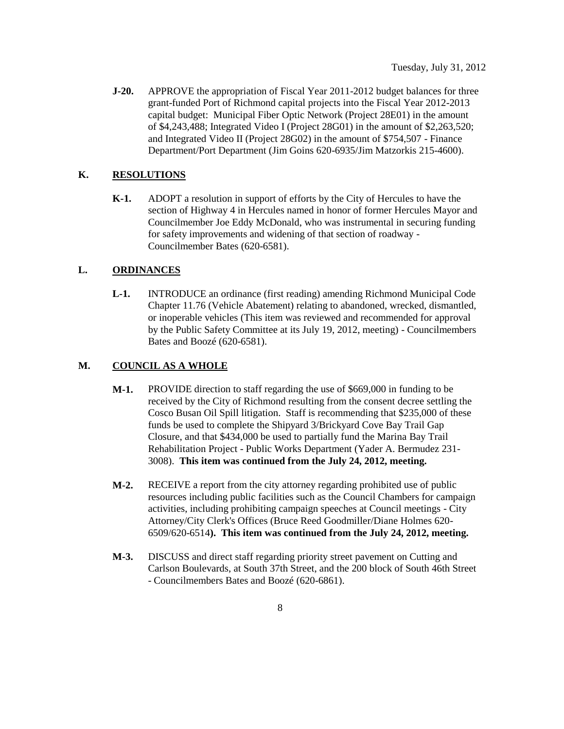**J-20.** APPROVE the appropriation of Fiscal Year 2011-2012 budget balances for three grant-funded Port of Richmond capital projects into the Fiscal Year 2012-2013 capital budget: Municipal Fiber Optic Network (Project 28E01) in the amount of \$4,243,488; Integrated Video I (Project 28G01) in the amount of \$2,263,520; and Integrated Video II (Project 28G02) in the amount of \$754,507 - Finance Department/Port Department (Jim Goins 620-6935/Jim Matzorkis 215-4600).

#### **K. RESOLUTIONS**

**K-1.** ADOPT a resolution in support of efforts by the City of Hercules to have the section of Highway 4 in Hercules named in honor of former Hercules Mayor and Councilmember Joe Eddy McDonald, who was instrumental in securing funding for safety improvements and widening of that section of roadway - Councilmember Bates (620-6581).

#### **L. ORDINANCES**

**L-1.** INTRODUCE an ordinance (first reading) amending Richmond Municipal Code Chapter 11.76 (Vehicle Abatement) relating to abandoned, wrecked, dismantled, or inoperable vehicles (This item was reviewed and recommended for approval by the Public Safety Committee at its July 19, 2012, meeting) - Councilmembers Bates and Boozé (620-6581).

#### **M. COUNCIL AS A WHOLE**

- **M-1.** PROVIDE direction to staff regarding the use of \$669,000 in funding to be received by the City of Richmond resulting from the consent decree settling the Cosco Busan Oil Spill litigation. Staff is recommending that \$235,000 of these funds be used to complete the Shipyard 3/Brickyard Cove Bay Trail Gap Closure, and that \$434,000 be used to partially fund the Marina Bay Trail Rehabilitation Project - Public Works Department (Yader A. Bermudez 231- 3008). **This item was continued from the July 24, 2012, meeting.**
- **M-2.** RECEIVE a report from the city attorney regarding prohibited use of public resources including public facilities such as the Council Chambers for campaign activities, including prohibiting campaign speeches at Council meetings - City Attorney/City Clerk's Offices (Bruce Reed Goodmiller/Diane Holmes 620- 6509/620-6514**). This item was continued from the July 24, 2012, meeting.**
- **M-3.** DISCUSS and direct staff regarding priority street pavement on Cutting and Carlson Boulevards, at South 37th Street, and the 200 block of South 46th Street - Councilmembers Bates and Boozé (620-6861).